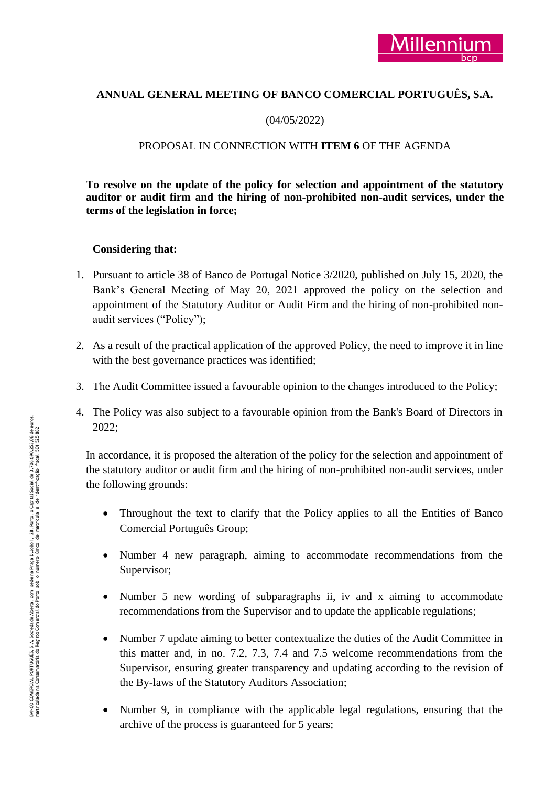# **ANNUAL GENERAL MEETING OF BANCO COMERCIAL PORTUGUÊS, S.A.**

## (04/05/2022)

## PROPOSAL IN CONNECTION WITH **ITEM 6** OF THE AGENDA

**To resolve on the update of the policy for selection and appointment of the statutory**  auditor or audit firm and the hiring of non-prohibited non-audit services, under the **terms of the legislation in force;**

### **Considering that:**

- 1. Pursuant to article 38 of Banco de Portugal Notice 3/2020, published on July 15, 2020, the Bank's General Meeting of May 20, 2021 approved the policy on the selection and appointment of the Statutory Auditor or Audit Firm and the hiring of non -prohibited non audit services ("Policy");
- 2. As a result of the practical application of the approved Policy, the need to improve it in line with the best governance practices was identified;
- 3. The Audit Committee issued a favourable opinion to the changes introduced to the Policy;
- 4. The Policy was also subject to a favourable opinion from the Bank's Board of Directors in 2022;

In accordance, it is proposed the alteration of the policy for the selection and appointment of the statutory auditor or audit firm and the hiring of non -prohibited non -audit services, under the following grounds:

- Throughout the text to clarify that the Policy applies to all the Entities of Banco Comercial Português Group;
- Number 4 new paragraph, aiming to accommodate recommendations from the Supervisor;
- Number 5 new wording of subparagraphs ii, iv and x aiming to accommodate recommendations from the Supervisor and to update the applicable regulations;
- Number 7 update aiming to better contextualize the duties of the Audit Committee in this matter and, in no. 7.2, 7.3, 7.4 and 7.5 welcome recommendations from the Supervisor, ensuring greater transparency and updating according to the revision of the By -laws of the Statutory Auditors Association;
- Number 9, in compliance with the applicable legal regulations, ensuring that the archive of the process is guaranteed for 5 years;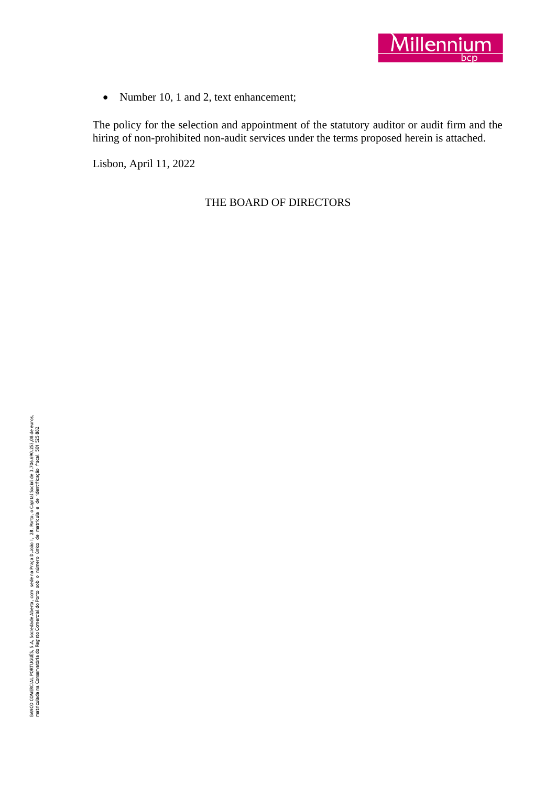

• Number 10, 1 and 2, text enhancement;

The policy for the selection and appointment of the statutory auditor or audit firm and the hiring of non-prohibited non-audit services under the terms proposed herein is attached.

Lisbon, April 11, 2022

THE BOARD OF DIRECTORS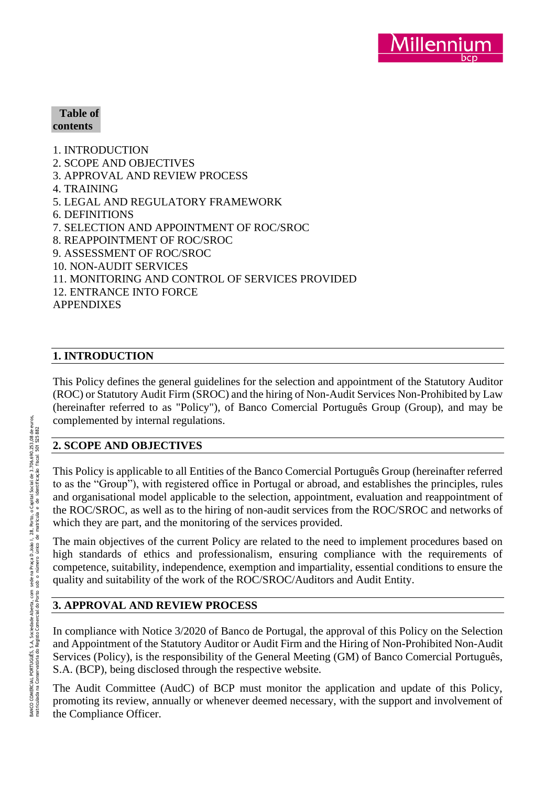

#### **Table of contents**

1. INTRODUCTION 2. SCOPE AND OBJECTIVES 3. APPROVAL AND REVIEW PROCESS 4. TRAINING 5. LEGAL AND REGULATORY FRAMEWORK 6. DEFINITIONS 7. SELECTION AND APPOINTMENT OF ROC/SROC 8. REAPPOINTMENT OF ROC/SROC 9. ASSESSMENT OF ROC/SROC 10. NON -AUDIT SERVICES 11. MONITORING AND CONTROL OF SERVICES PROVIDED 12. ENTRANCE INTO FORCE APPENDIXES

## **1. INTRODUCTION**

This Policy defines the general guidelines for the selection and appointment of the Statutory Auditor (ROC) or Statutory Audit Firm (SROC) and the hiring of Non -Audit Services Non -Prohibited by Law (hereinafter referred to as "Policy"), of Banco Comercial Português Group (Group), and may be complemented by internal regulations.

### **2. SCOPE AND OBJECTIVES**

This Policy is applicable to all Entities of the Banco Comercial Português Group (hereinafter referred to as the "Group"), with registered office in Portugal or abroad, and establishes the principles, rules and organisational model applicable to the selection, appointment, evaluation and reappointment of the ROC/SROC, as well as to the hiring of non -audit services from the ROC/SROC and networks of which they are part, and the monitoring of the services provided.

The main objectives of the current Policy are related to the need to implement procedures based on high standards of ethics and professionalism, ensuring compliance with the requirements of competence, suitability, independence, exemption and impartiality, essential conditions to ensure the quality and suitability of the work of the ROC/SROC/Auditors and Audit Entity.

# **3. APPROVAL AND REVIEW PROCESS**

In compliance with Notice 3/2020 of Banco de Portugal, the approval of this Policy on the Selection and Appointment of the Statutory Auditor or Audit Firm and the Hiring of Non -Prohibited Non -Audit Services (Policy), is the responsibility of the General Meeting (GM) of Banco Comercial Português, S.A. (BCP), being disclosed through the respective website.

The Audit Committee (AudC) of BCP must monitor the application and update of this Policy, promoting its review, annually or whenever deemed necessary, with the support and involvement of the Compliance Officer.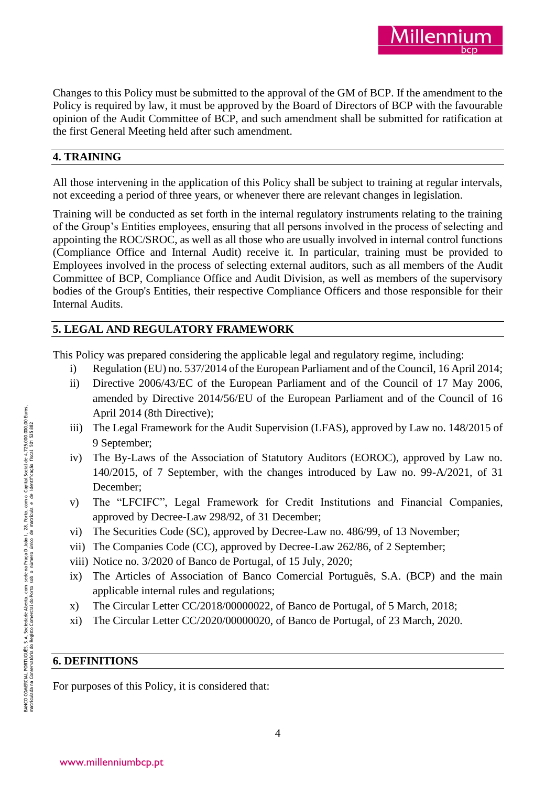Changes to this Policy must be submitted to the approval of the GM of BCP. If the amendment to the Policy is required by law, it must be approved by the Board of Directors of BCP with the favourable opinion of the Audit Committee of BCP, and such amendment shall be submitted for ratification at the first General Meeting held after such amendment.

illenni

## **4. TRAINING**

All those intervening in the application of this Policy shall be subject to training at regular intervals, not exceeding a period of three years, or whenever there are relevant changes in legislation.

Training will be conducted as set forth in the internal regulatory instruments relating to the training of the Group's Entities employees, ensuring that all persons involved in the process of selecting and appointing the ROC/SROC, as well as all those who are usually involved in internal control functions (Compliance Office and Internal Audit) receive it. In particular, training must be provided to Employees involved in the process of selecting external auditors, such as all members of the Audit Committee of BCP, Compliance Office and Audit Division, as well as members of the supervisory bodies of the Group's Entities, their respective Compliance Officers and those responsible for their Internal Audits.

# **5. LEGAL AND REGULATORY FRAMEWORK**

This Policy was prepared considering the applicable legal and regulatory regime, including:

- i) Regulation (EU) no. 537/2014 of the European Parliament and of the Council, 16 April 2014;
- ii) Directive 2006/43/EC of the European Parliament and of the Council of 17 May 2006, amended by Directive 2014/56/EU of the European Parliament and of the Council of 16 April 2014 (8th Directive);
- iii) The Legal Framework for the Audit Supervision (LFAS), approved by Law no. 148/2015 of 9 September;
- iv) The By -Laws of the Association of Statutory Auditors (EOROC), approved by Law no. 140/2015, of 7 September, with the changes introduced by Law no. 99 -A/2021, of 31 December;
- v) The "LFCIFC", Legal Framework for Credit Institutions and Financial Companies, approved by Decree -Law 298/92, of 31 December;
- vi) The Securities Code (SC), approved by Decree -Law no. 486/99, of 13 November;
- vii) The Companies Code (CC), approved by Decree -Law 262/86, of 2 September;
- viii) Notice no. 3/2020 of Banco de Portugal, of 15 July, 2020;
- ix) The Articles of Association of Banco Comercial Português, S.A. (BCP) and the main applicable internal rules and regulations;
- x) The Circular Letter CC/2018/00000022, of Banco de Portugal, of 5 March, 2018;
- xi) The Circular Letter CC/2020/00000020, of Banco de Portugal, of 23 March, 2020.

### **6. DEFINITIONS**

For purposes of this Policy, it is considered that: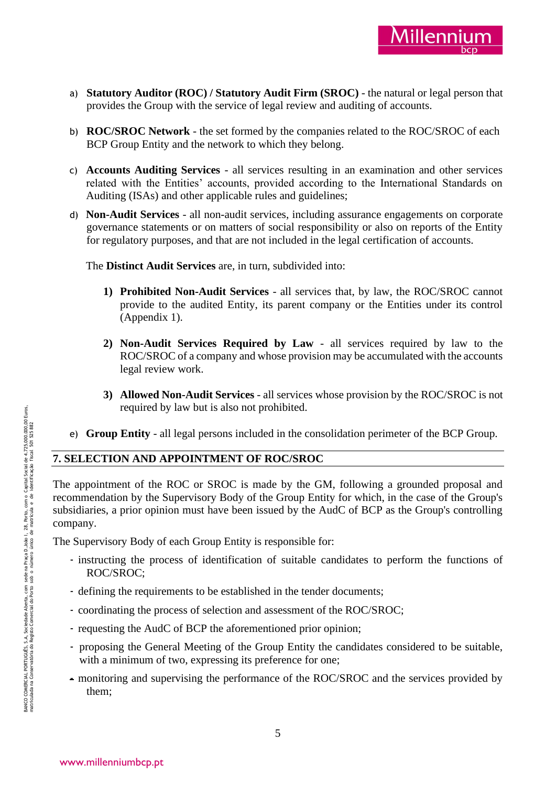

- a) **Statutory Auditor (ROC) / Statutory Audit Firm (SROC)** the natural or legal person that provides the Group with the service of legal review and auditing of accounts.
- b) **ROC/SROC Network** the set formed by the companies related to the ROC/SROC of each BCP Group Entity and the network to which they belong.
- c) **Accounts Auditing Services** all services resulting in an examination and other services related with the Entities' accounts, provided according to the International Standards on Auditing (ISAs) and other applicable rules and guidelines;
- d) **Non -Audit Services** all non -audit services, including assurance engagements on corporate governance statements or on matters of social responsibility or also on reports of the Entity for regulatory purposes, and that are not included in the legal certification of accounts.

The **Distinct Audit Services** are, in turn, subdivided into:

- **1) Prohibited Non -Audit Services** all services that, by law, the ROC/SROC cannot provide to the audited Entity, its parent company or the Entities under its control (Appendix 1).
- **2) Non -Audit Services Required by Law** all services required by law to the ROC/SROC of a company and whose provision may be accumulated with the accounts legal review work.
- **3) Allowed Non -Audit Services** all services whose provision by the ROC/SROC is not required by law but is also not prohibited.
- e) **Group Entity** all legal persons included in the consolidation perimeter of the BCP Group.

### **7. SELECTION AND APPOINTMENT OF ROC/SROC**

The appointment of the ROC or SROC is made by the GM, following a grounded proposal and recommendation by the Supervisory Body of the Group Entity for which, in the case of the Group's subsidiaries, a prior opinion must have been issued by the AudC of BCP as the Group's controlling company.

The Supervisory Body of each Group Entity is responsible for:

- instructing the process of identification of suitable candidates to perform the functions of ROC/SROC;
- defining the requirements to be established in the tender documents;
- coordinating the process of selection and assessment of the ROC/SROC;
- requesting the AudC of BCP the aforementioned prior opinion;
- proposing the General Meeting of the Group Entity the candidates considered to be suitable, with a minimum of two, expressing its preference for one;
- monitoring and supervising the performance of the ROC/SROC and the services provided by them;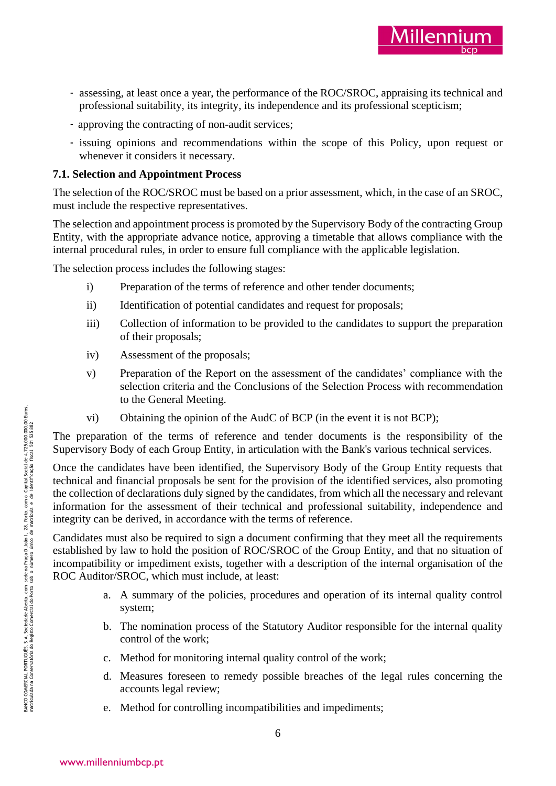

- professional suitability, its integrity, its independence and its professional scepticism;
- approving the contracting of non -audit services;
- issuing opinions and recommendations within the scope of this Policy, upon request or whenever it considers it necessary.

# **7.1. Selection and Appointment Process**

The selection of the ROC/SROC must be based on a prior assessment, which, in the case of an SROC, must include the respective representatives.

The selection and appointment process is promoted by the Supervisory Body of the contracting Group Entity, with the appropriate advance notice, approving a timetable that allows compliance with the internal procedural rules, in order to ensure full compliance with the applicable legislation.

The selection process includes the following stages:

- i) Preparation of the terms of reference and other tender documents;
- ii) Identification of potential candidates and request for proposals;
- iii) Collection of information to be provided to the candidates to support the preparation of their proposals;
- iv) Assessment of the proposals;
- v) Preparation of the Report on the assessment of the candidates' compliance with the selection criteria and the Conclusions of the Selection Process with recommendation to the General Meeting.
- vi) Obtaining the opinion of the AudC of BCP (in the event it is not BCP);

The preparation of the terms of reference and tender documents is the responsibility of the Supervisory Body of each Group Entity, in articulation with the Bank's various technical services.

Example at least once a year, the performance of the ROC/SROC, apprinting is rechnical and<br>professional subshing, its integraty, its integraty, correct the NOC/SROC, appraising is rechnical<br>correct and recommendations wit Once the candidates have been identified, the Supervisory Body of the Group Entity requests that technical and financial proposals be sent for the provision of the identified services, also promoting the collection of declarations duly signed by the candidates, from which all the necessary and relevant information for the assessment of their technical and professional suitability, independence and integrity can be derived, in accordance with the terms of reference.

Candidates must also be required to sign a document confirming that they meet all the requirements established by law to hold the position of ROC/SROC of the Group Entity, and that no situation of incompatibility or impediment exists, together with a description of the internal organisation of the ROC Auditor/SROC, which must include, at least:

- a. A summary of the policies, procedures and operation of its internal quality control system;
- b. The nomination process of the Statutory Auditor responsible for the internal quality control of the work;
- c. Method for monitoring internal quality control of the work;
- d. Measures foreseen to remedy possible breaches of the legal rules concerning the accounts legal review;
- e. Method for controlling incompatibilities and impediments;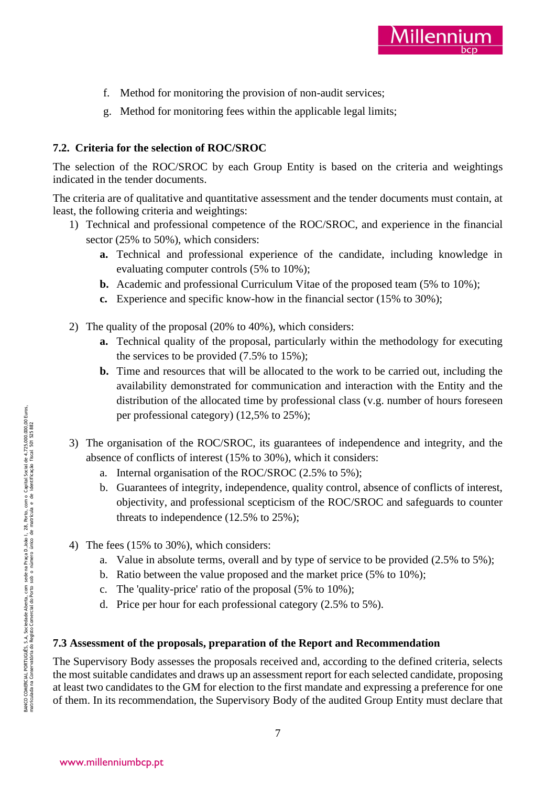

- f. Method for monitoring the provision of non -audit services;
- g. Method for monitoring fees within the applicable legal limits;

## **7.2. Criteria for the selection of ROC/SROC**

The selection of the ROC/SROC by each Group Entity is based on the criteria and weightings indicated in the tender documents.

The criteria are of qualitative and quantitative assessment and the tender documents must contain, at least, the following criteria and weightings:

- 1) Technical and professional competence of the ROC/SROC, and experience in the financial sector (25% to 50%), which considers:
	- **a.** Technical and professional experience of the candidate, including knowledge in evaluating computer controls (5% to 10%);
	- **b.** Academic and professional Curriculum Vitae of the proposed team (5% to 10%);
	- **c.** Experience and specific know -how in the financial sector (15% to 30%);
- 2) The quality of the proposal (20% to 40%), which considers:
	- **a.** Technical quality of the proposal, particularly within the methodology for executing the services to be provided (7.5% to 15%);
	- **b.** Time and resources that will be allocated to the work to be carried out, including the availability demonstrated for communication and interaction with the Entity and the distribution of the allocated time by professional class (v.g. number of hours foreseen per professional category) (12,5% to 25%);
- 3) The organisation of the ROC/SROC, its guarantees of independence and integrity, and the absence of conflicts of interest (15% to 30%), which it considers:
	- a. Internal organisation of the ROC/SROC (2.5% to 5%);
	- b. Guarantees of integrity, independence, quality control, absence of conflicts of interest, objectivity, and professional scepticism of the ROC/SROC and safeguards to counter threats to independence (12.5% to 25%);
- 4) The fees (15% to 30%), which considers:
	- a. Value in absolute terms, overall and by type of service to be provided (2.5% to 5%);
	- b. Ratio between the value proposed and the market price (5% to 10%);
	- c. The 'quality -price' ratio of the proposal (5% to 10%);
	- d. Price per hour for each professional category (2.5% to 5%).

### **7.3 Assessment of the proposals, preparation of the Report and Recommendation**

The Supervisory Body assesses the proposals received and, according to the defined criteria, selects the most suitable candidates and draws up an assessment report for each selected candidate, proposing at least two candidates to the GM for election to the first mandate and expressing a preference for one of them. In its recommendation, the Supervisory Body of the audited Group Entity must declare that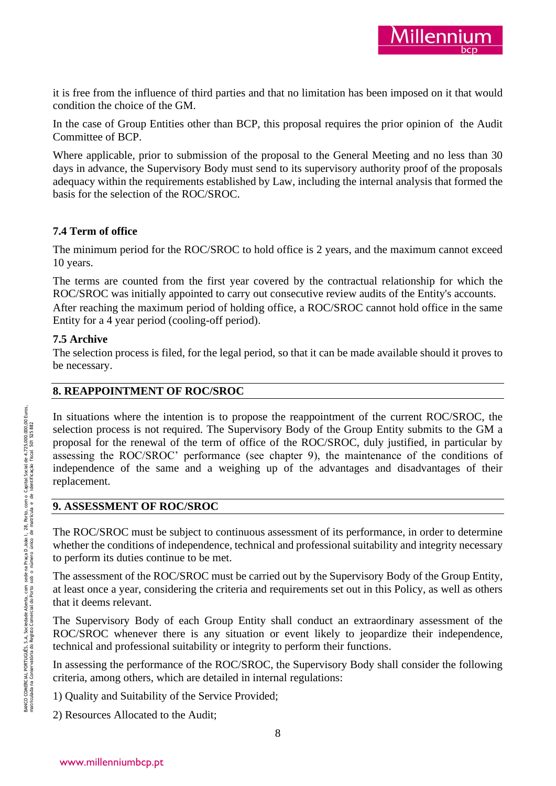it is free from the influence of third parties and that no limitation has been imposed on it that would condition the choice of the GM.

In the case of Group Entities other than BCP, this proposal requires the prior opinion of the Audit Committee of BCP.

Where applicable, prior to submission of the proposal to the General Meeting and no less than 30 days in advance, the Supervisory Body must send to its supervisory authority proof of the proposals adequacy within the requirements established by Law, including the internal analysis that formed the basis for the selection of the ROC/SROC.

# **7.4 Term of office**

The minimum period for the ROC/SROC to hold office is 2 years, and the maximum cannot exceed 10 years.

The terms are counted from the first year covered by the contractual relationship for which the ROC/SROC was initially appointed to carry out consecutive review audits of the Entity's accounts. After reaching the maximum period of holding office, a ROC/SROC cannot hold office in the same Entity for a 4 year period (cooling -off period).

## **7.5 Archive**

The selection process is filed, for the legal period, so that it can be made available should it proves to be necessary.

## **8. REAPPOINTMENT OF ROC/SROC**

In situations where the intention is to propose the reappointment of the current ROC/SROC, the selection process is not required. The Supervisory Body of the Group Entity submits to the GM a proposal for the renewal of the term of office of the ROC/SROC, duly justified, in particular by assessing the ROC/SROC' performance (see chapter 9), the maintenance of the conditions of independence of the same and a weighing up of the advantages and disadvantages of their replacement.

### **9. ASSESSMENT OF ROC/SROC**

The ROC/SROC must be subject to continuous assessment of its performance, in order to determine whether the conditions of independence, technical and professional suitability and integrity necessary to perform its duties continue to be met.

The assessment of the ROC/SROC must be carried out by the Supervisory Body of the Group Entity, at least once a year, considering the criteria and requirements set out in this Policy, as well as others that it deems relevant.

The Supervisory Body of each Group Entity shall conduct an extraordinary assessment of the ROC/SROC whenever there is any situation or event likely to jeopardize their independence, technical and professional suitability or integrity to perform their functions.

In assessing the performance of the ROC/SROC, the Supervisory Body shall consider the following criteria, among others, which are detailed in internal regulations:

1) Quality and Suitability of the Service Provided;

2) Resources Allocated to the Audit;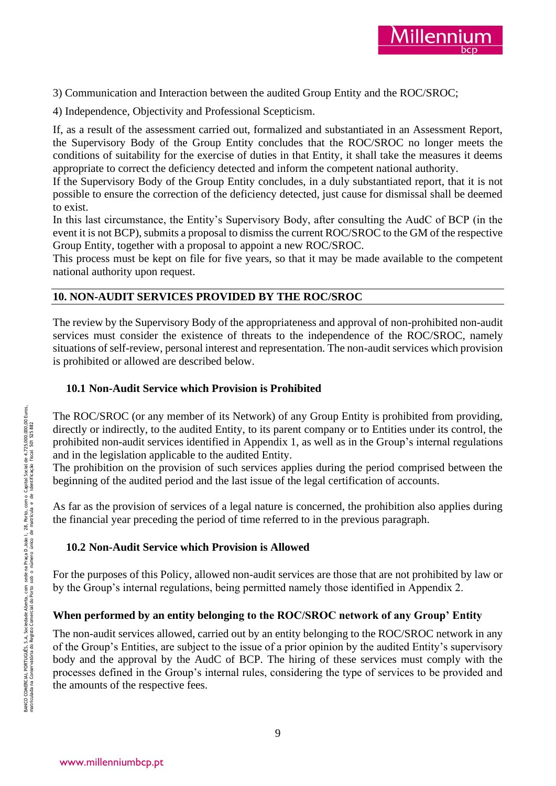

3) Communication and Interaction between the audited Group Entity and the ROC/SROC;

4) Independence, Objectivity and Professional Scepticism.

If, as a result of the assessment carried out, formalized and substantiated in an Assessment Report, the Supervisory Body of the Group Entity concludes that the ROC/SROC no longer meets the conditions of suitability for the exercise of duties in that Entity, it shall take the measures it deems appropriate to correct the deficiency detected and inform the competent national authority.

If the Supervisory Body of the Group Entity concludes, in a duly substantiated report, that it is not possible to ensure the correction of the deficiency detected, just cause for dismissal shall be deemed to exist.

In this last circumstance, the Entity's Supervisory Body, after consulting the AudC of BCP (in the event it is not BCP), submits a proposal to dismiss the current ROC/SROC to the GM of the respective Group Entity, together with a proposal to appoint a new ROC/SROC.

This process must be kept on file for five years, so that it may be made available to the competent national authority upon request.

### **10. NON -AUDIT SERVICES PROVIDED BY THE ROC/SROC**

The review by the Supervisory Body of the appropriateness and approval of non-prohibited non-audit services must consider the existence of threats to the independence of the ROC/SROC, namely situations of self-review, personal interest and representation. The non -audit services which provision is prohibited or allowed are described below.

### **10.1 Non -Audit Service which Provision is Prohibited**

The ROC/SROC (or any member of its Network) of any Group Entity is prohibited from providing, directly or indirectly, to the audited Entity, to its parent company or to Entities under its control, the prohibited non -audit services identified in Appendix 1, as well as in the Group's internal regulations and in the legislation applicable to the audited Entity.

The prohibition on the provision of such services applies during the period comprised between the beginning of the audited period and the last issue of the legal certification of accounts.

As far as the provision of services of a legal nature is concerned, the prohibition also applies during the financial year preceding the period of time referred to in the previous paragraph.

### **10.2 Non -Audit Service which Provision is Allowed**

For the purposes of this Policy, allowed non -audit services are those that are not prohibited by law or by the Group's internal regulations, being permitted namely those identified in Appendix 2.

### **When performed by an entity belonging to the ROC/SROC network of any Group' Entity**

The non -audit services allowed, carried out by an entity belonging to the ROC/SROC network in any of the Group's Entities, are subject to the issue of a prior opinion by the audited Entity's supervisory body and the approval by the AudC of BCP. The hiring of these services must comply with the processes defined in the Group's internal rules, considering the type of services to be provided and the amounts of the respective fees.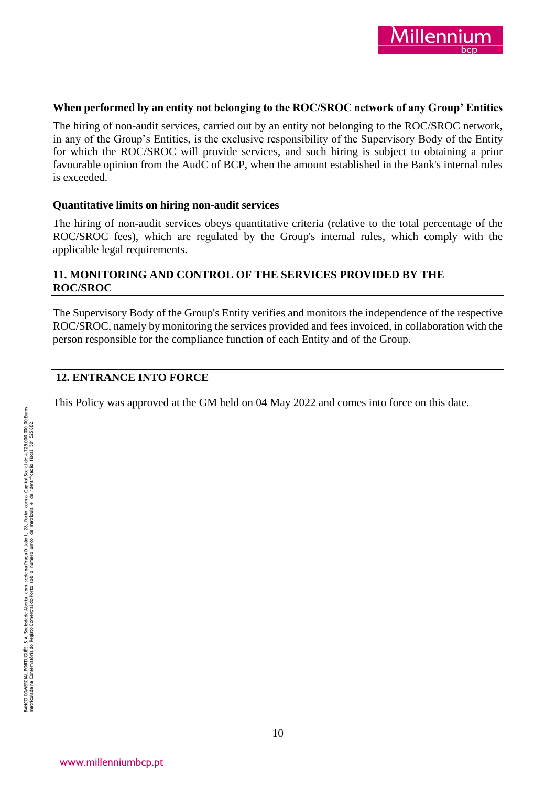

### **When performed by an entity not belonging to the ROC/SROC network of any Group' Entities**

The hiring of non -audit services, carried out by an entity not belonging to the ROC/SROC network, in any of the Group's Entities, is the exclusive responsibility of the Supervisory Body of the Entity for which the ROC/SROC will provide services, and such hiring is subject to obtaining a prior favourable opinion from the AudC of BCP, when the amount established in the Bank's internal rules is exceeded.

### **Quantitative limits on hiring non -audit services**

The hiring of non -audit services obeys quantitative criteria (relative to the total percentage of the ROC/SROC fees), which are regulated by the Group's internal rules, which comply with the applicable legal requirements.

### **11. MONITORING AND CONTROL OF THE SERVICES PROVIDED BY THE ROC/SROC**

The Supervisory Body of the Group's Entity verifies and monitors the independence of the respective ROC/SROC, namely by monitoring the services provided and fees invoiced, in collaboration with the person responsible for the compliance function of each Entity and of the Group.

## **12. ENTRANCE INTO FORCE**

This Policy was approved at the GM held on 04 May 2022 and comes into force on this date.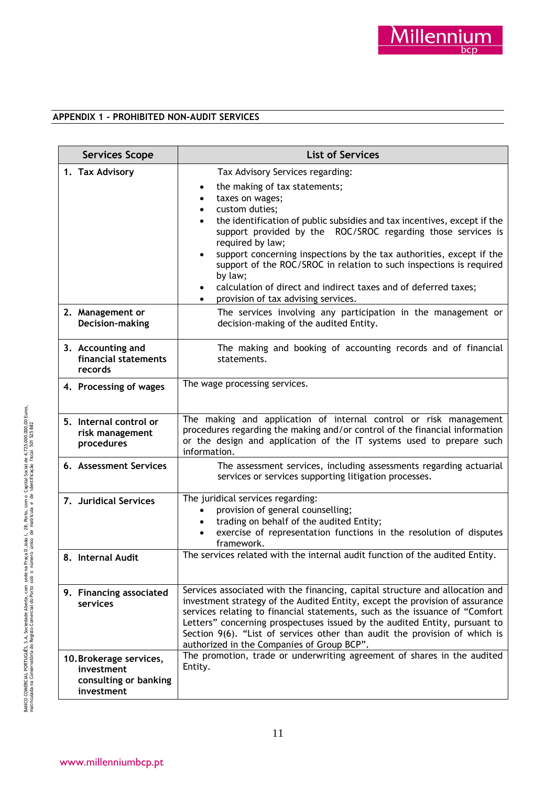### **APPENDIX 1 - PROHIBITED NON -AUDIT SERVICES**

| <b>Services Scope</b>                                                        | <b>List of Services</b>                                                                                                                                                                                                                                                                                                                                                                                                                                                                                                                                                   |
|------------------------------------------------------------------------------|---------------------------------------------------------------------------------------------------------------------------------------------------------------------------------------------------------------------------------------------------------------------------------------------------------------------------------------------------------------------------------------------------------------------------------------------------------------------------------------------------------------------------------------------------------------------------|
| 1. Tax Advisory                                                              | Tax Advisory Services regarding:<br>the making of tax statements;<br>taxes on wages;<br>٠<br>custom duties;<br>$\bullet$<br>the identification of public subsidies and tax incentives, except if the<br>$\bullet$<br>support provided by the ROC/SROC regarding those services is<br>required by law;<br>support concerning inspections by the tax authorities, except if the<br>support of the ROC/SROC in relation to such inspections is required<br>by law;<br>calculation of direct and indirect taxes and of deferred taxes;<br>provision of tax advising services. |
| 2. Management or<br>Decision-making                                          | The services involving any participation in the management or<br>decision-making of the audited Entity.                                                                                                                                                                                                                                                                                                                                                                                                                                                                   |
| 3. Accounting and<br>financial statements<br>records                         | The making and booking of accounting records and of financial<br>statements.                                                                                                                                                                                                                                                                                                                                                                                                                                                                                              |
| 4. Processing of wages                                                       | The wage processing services.                                                                                                                                                                                                                                                                                                                                                                                                                                                                                                                                             |
| 5. Internal control or<br>risk management<br>procedures                      | The making and application of internal control or risk management<br>procedures regarding the making and/or control of the financial information<br>or the design and application of the IT systems used to prepare such<br>information.                                                                                                                                                                                                                                                                                                                                  |
| 6. Assessment Services                                                       | The assessment services, including assessments regarding actuarial<br>services or services supporting litigation processes.                                                                                                                                                                                                                                                                                                                                                                                                                                               |
| 7. Juridical Services                                                        | The juridical services regarding:<br>provision of general counselling;<br>$\bullet$<br>trading on behalf of the audited Entity;<br>$\bullet$<br>exercise of representation functions in the resolution of disputes<br>framework.                                                                                                                                                                                                                                                                                                                                          |
| 8. Internal Audit                                                            | The services related with the internal audit function of the audited Entity.                                                                                                                                                                                                                                                                                                                                                                                                                                                                                              |
| 9. Financing associated<br>services                                          | Services associated with the financing, capital structure and allocation and<br>investment strategy of the Audited Entity, except the provision of assurance<br>services relating to financial statements, such as the issuance of "Comfort<br>Letters" concerning prospectuses issued by the audited Entity, pursuant to<br>Section 9(6). "List of services other than audit the provision of which is<br>authorized in the Companies of Group BCP".                                                                                                                     |
| 10. Brokerage services,<br>investment<br>consulting or banking<br>investment | The promotion, trade or underwriting agreement of shares in the audited<br>Entity.                                                                                                                                                                                                                                                                                                                                                                                                                                                                                        |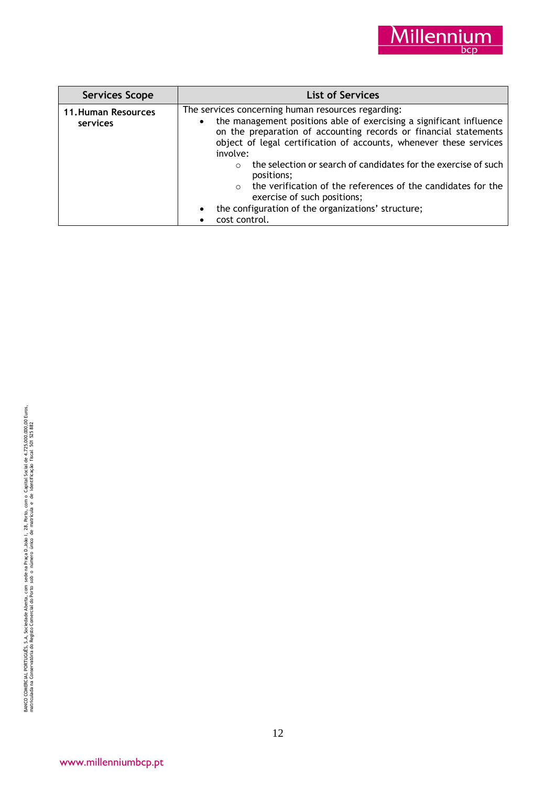

| <b>Services Scope</b>                  | <b>List of Services</b>                                                                                                                                                                                                                                                                      |
|----------------------------------------|----------------------------------------------------------------------------------------------------------------------------------------------------------------------------------------------------------------------------------------------------------------------------------------------|
| <b>11. Human Resources</b><br>services | The services concerning human resources regarding:<br>the management positions able of exercising a significant influence<br>$\bullet$<br>on the preparation of accounting records or financial statements<br>object of legal certification of accounts, whenever these services<br>involve: |
|                                        | the selection or search of candidates for the exercise of such<br>$\Omega$<br>positions;<br>the verification of the references of the candidates for the<br>$\circ$<br>exercise of such positions;                                                                                           |
|                                        | the configuration of the organizations' structure;<br>$\bullet$                                                                                                                                                                                                                              |
|                                        | cost control.                                                                                                                                                                                                                                                                                |